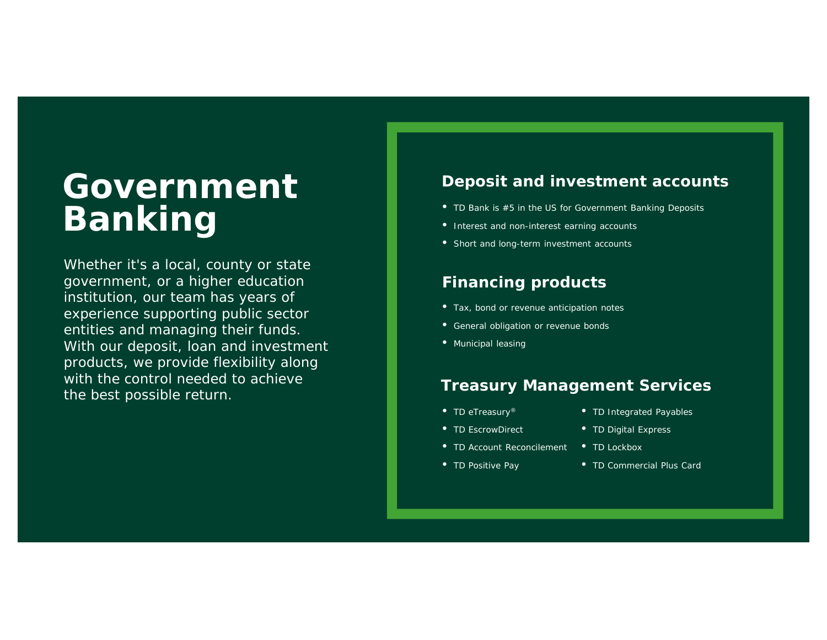# **Government Banking**

Whether it's a local, county or state government, or a higher education institution, our team has years of experience supporting public sector entities and managing their funds. With our deposit, loan and investment products, we provide flexibility along with the control needed to achieve the best possible return.

## **Deposit and investment accounts**

- TD Bank is #5 in the US for Government Banking Deposits
- Interest and non-interest earning accounts
- Short and long-term investment accounts

## **Financing products**

- Tax, bond or revenue anticipation notes
- General obligation or revenue bonds
- Municipal leasing

#### **Treasury Management Services**

- TD eTreasury<sup>®</sup>
- TD Integrated Payables
- TD EscrowDirect
- TD Account Reconcilement
- TD Positive Pay
- TD Digital Express
- TD Lockbox
- TD Commercial Plus Card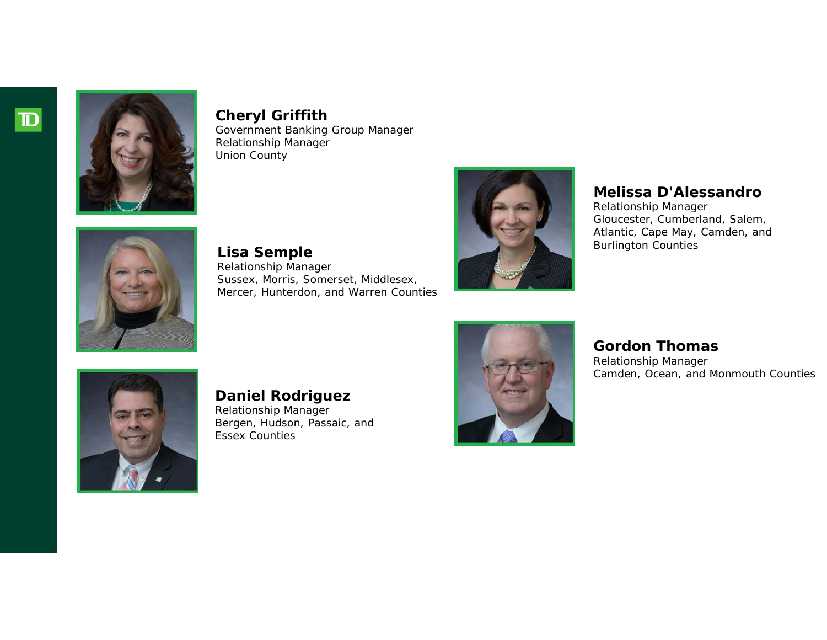



**Cheryl Griffith** Government Banking Group Manager Relationship Manager Union County



**Lisa Semple** Relationship Manager Sussex, Morris, Somerset, Middlesex, Mercer, Hunterdon, and Warren Counties



#### **Melissa D'Alessandro**

Relationship Manager Gloucester, Cumberland, Salem, Atlantic, Cape May, Camden, and Burlington Counties



**Daniel Rodriguez**

Relationship Manager Bergen, Hudson, Passaic, and Essex Counties



# **Gordon Thomas**

Relationship Manager Camden, Ocean, and Monmouth Counties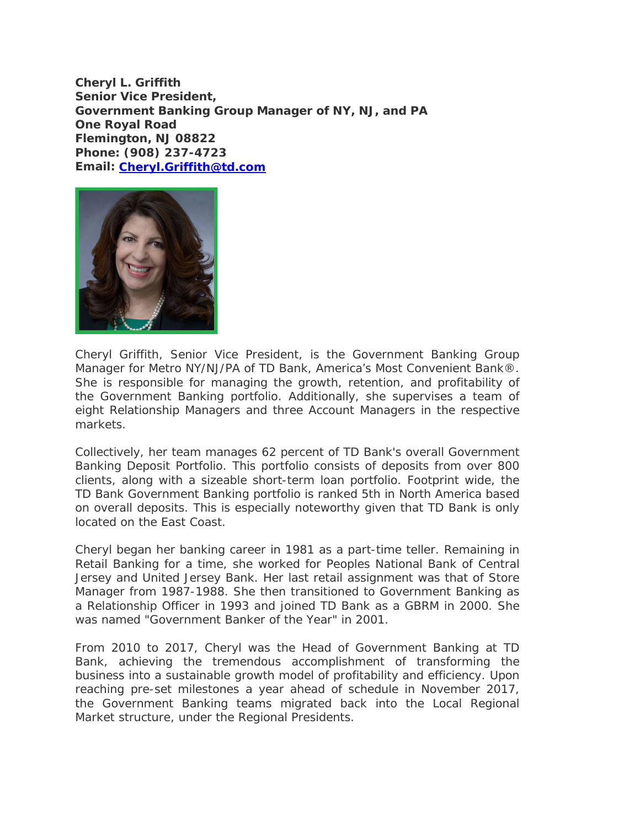**Cheryl L. Griffith Senior Vice President, Government Banking Group Manager of NY, NJ, and PA One Royal Road Flemington, NJ 08822 Phone: (908) 237-4723 Email: Cheryl.Griffith@td.com**



Cheryl Griffith, Senior Vice President, is the Government Banking Group Manager for Metro NY/NJ/PA of TD Bank, America's Most Convenient Bank®. She is responsible for managing the growth, retention, and profitability of the Government Banking portfolio. Additionally, she supervises a team of eight Relationship Managers and three Account Managers in the respective markets.

Collectively, her team manages 62 percent of TD Bank's overall Government Banking Deposit Portfolio. This portfolio consists of deposits from over 800 clients, along with a sizeable short-term loan portfolio. Footprint wide, the TD Bank Government Banking portfolio is ranked 5th in North America based on overall deposits. This is especially noteworthy given that TD Bank is only located on the East Coast.

Cheryl began her banking career in 1981 as a part-time teller. Remaining in Retail Banking for a time, she worked for Peoples National Bank of Central Jersey and United Jersey Bank. Her last retail assignment was that of Store Manager from 1987-1988. She then transitioned to Government Banking as a Relationship Officer in 1993 and joined TD Bank as a GBRM in 2000. She was named "Government Banker of the Year" in 2001.

From 2010 to 2017, Cheryl was the Head of Government Banking at TD Bank, achieving the tremendous accomplishment of transforming the business into a sustainable growth model of profitability and efficiency. Upon reaching pre-set milestones a year ahead of schedule in November 2017, the Government Banking teams migrated back into the Local Regional Market structure, under the Regional Presidents.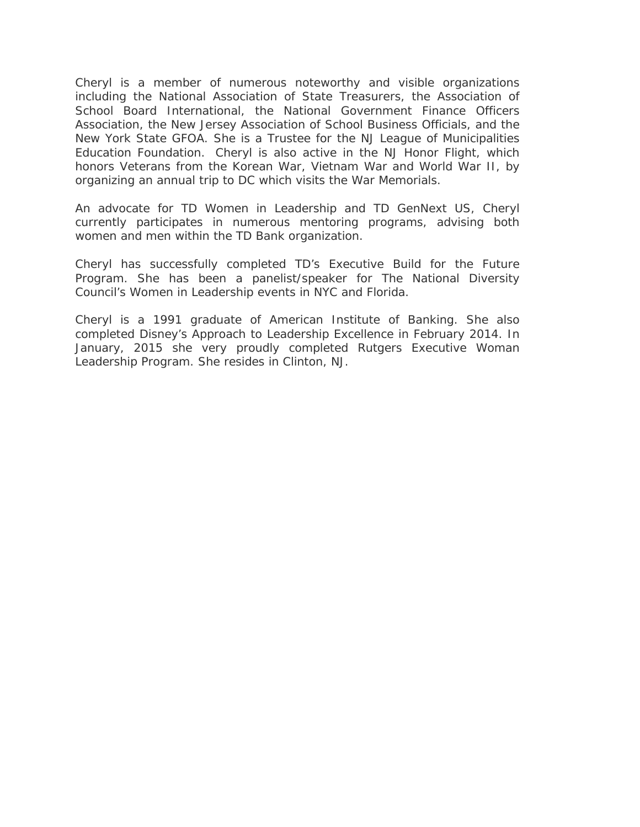Cheryl is a member of numerous noteworthy and visible organizations including the National Association of State Treasurers, the Association of School Board International, the National Government Finance Officers Association, the New Jersey Association of School Business Officials, and the New York State GFOA. She is a Trustee for the NJ League of Municipalities Education Foundation. Cheryl is also active in the NJ Honor Flight, which honors Veterans from the Korean War, Vietnam War and World War II, by organizing an annual trip to DC which visits the War Memorials.

An advocate for TD Women in Leadership and TD GenNext US, Cheryl currently participates in numerous mentoring programs, advising both women and men within the TD Bank organization.

Cheryl has successfully completed TD's Executive Build for the Future Program. She has been a panelist/speaker for The National Diversity Council's Women in Leadership events in NYC and Florida.

Cheryl is a 1991 graduate of American Institute of Banking. She also completed Disney's Approach to Leadership Excellence in February 2014. In January, 2015 she very proudly completed Rutgers Executive Woman Leadership Program. She resides in Clinton, NJ.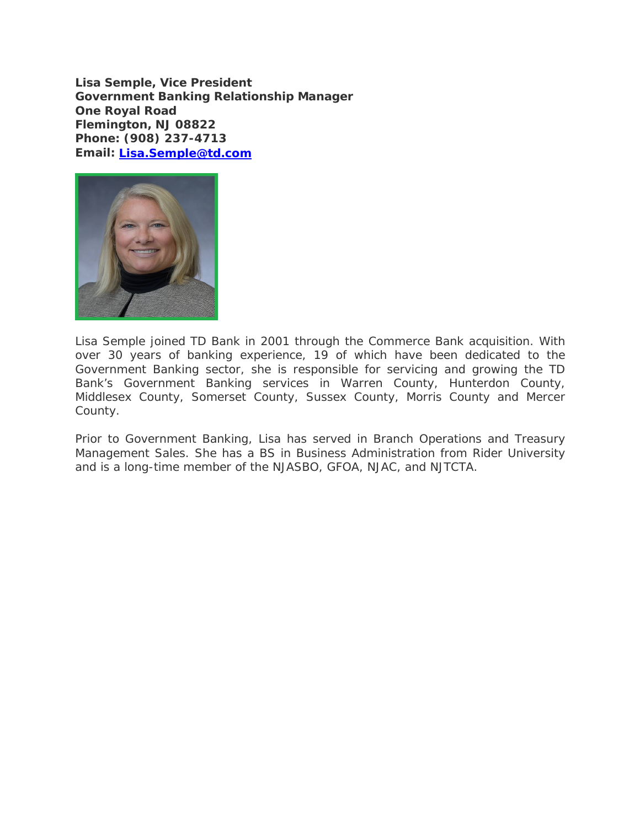**Lisa Semple, Vice President Government Banking Relationship Manager One Royal Road Flemington, NJ 08822 Phone: (908) 237-4713 Email: Lisa.Semple@td.com**



Lisa Semple joined TD Bank in 2001 through the Commerce Bank acquisition. With over 30 years of banking experience, 19 of which have been dedicated to the Government Banking sector, she is responsible for servicing and growing the TD Bank's Government Banking services in Warren County, Hunterdon County, Middlesex County, Somerset County, Sussex County, Morris County and Mercer County.

Prior to Government Banking, Lisa has served in Branch Operations and Treasury Management Sales. She has a BS in Business Administration from Rider University and is a long-time member of the NJASBO, GFOA, NJAC, and NJTCTA.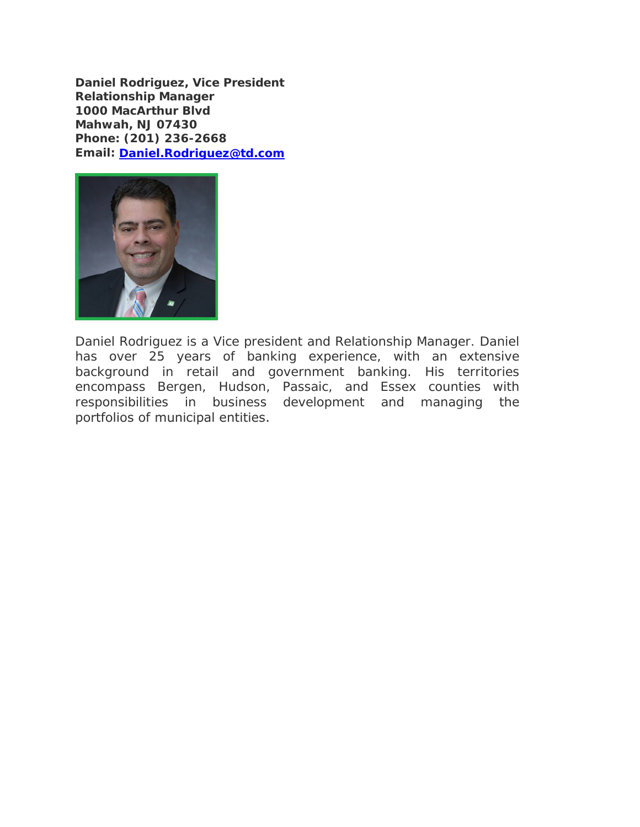**Daniel Rodriguez, Vice President Relationship Manager 1000 MacArthur Blvd Mahwah, NJ 07430 Phone: (201) 236-2668 Email: Daniel.Rodriguez@td.com**



Daniel Rodriguez is a Vice president and Relationship Manager. Daniel has over 25 years of banking experience, with an extensive background in retail and government banking. His territories encompass Bergen, Hudson, Passaic, and Essex counties with responsibilities in business development and managing the portfolios of municipal entities.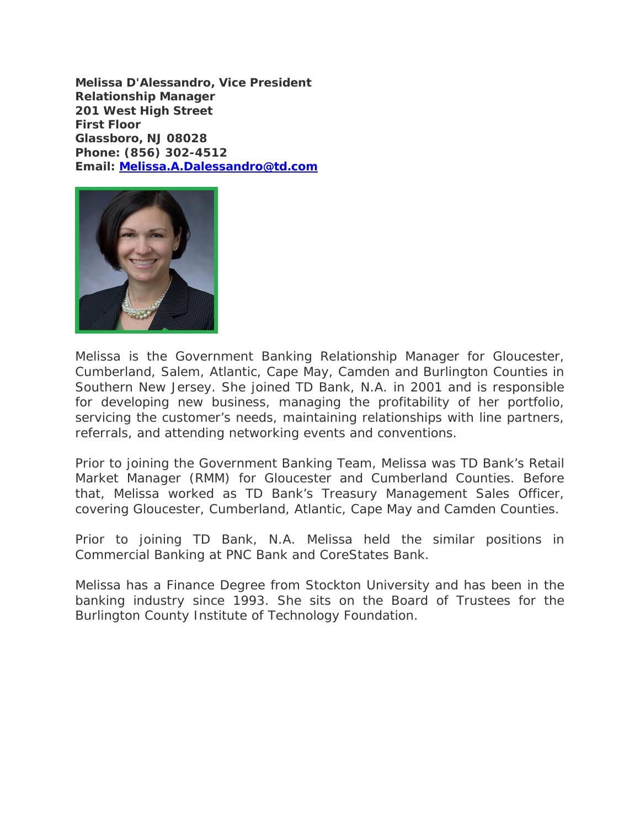**Melissa D'Alessandro, Vice President Relationship Manager 201 West High Street First Floor Glassboro, NJ 08028 Phone: (856) 302-4512 Email: Melissa.A.Dalessandro@td.com**



Melissa is the Government Banking Relationship Manager for Gloucester, Cumberland, Salem, Atlantic, Cape May, Camden and Burlington Counties in Southern New Jersey. She joined TD Bank, N.A. in 2001 and is responsible for developing new business, managing the profitability of her portfolio, servicing the customer's needs, maintaining relationships with line partners, referrals, and attending networking events and conventions.

Prior to joining the Government Banking Team, Melissa was TD Bank's Retail Market Manager (RMM) for Gloucester and Cumberland Counties. Before that, Melissa worked as TD Bank's Treasury Management Sales Officer, covering Gloucester, Cumberland, Atlantic, Cape May and Camden Counties.

Prior to joining TD Bank, N.A. Melissa held the similar positions in Commercial Banking at PNC Bank and CoreStates Bank.

Melissa has a Finance Degree from Stockton University and has been in the banking industry since 1993. She sits on the Board of Trustees for the Burlington County Institute of Technology Foundation.